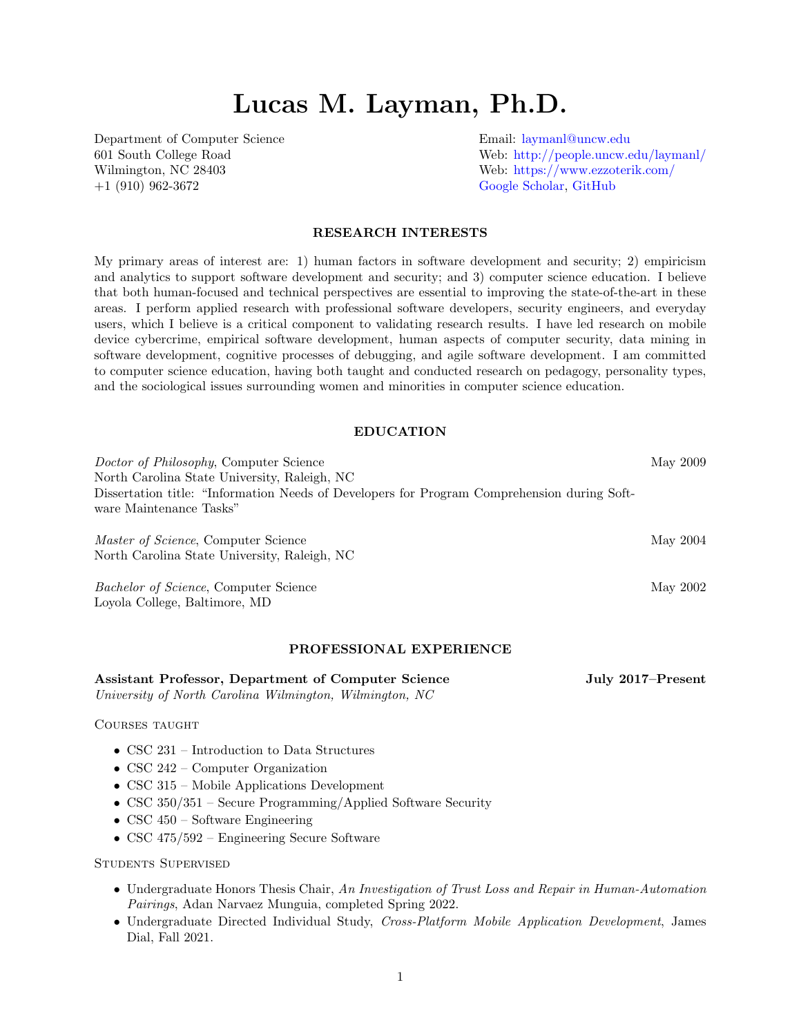# Lucas M. Layman, Ph.D.

Department of Computer Science Email: [laymanl@uncw.edu](mailto:laymanl@uncw.edu) +1 (910) 962-3672 [Google Scholar,](https://scholar.google.com/citations?user=DdQxZIgAAAAJ) [GitHub](https://github.com/llayman)

601 South College Road Web: <http://people.uncw.edu/laymanl/> Wilmington, NC 28403 Web: <https://www.ezzoterik.com/>

# RESEARCH INTERESTS

My primary areas of interest are: 1) human factors in software development and security; 2) empiricism and analytics to support software development and security; and 3) computer science education. I believe that both human-focused and technical perspectives are essential to improving the state-of-the-art in these areas. I perform applied research with professional software developers, security engineers, and everyday users, which I believe is a critical component to validating research results. I have led research on mobile device cybercrime, empirical software development, human aspects of computer security, data mining in software development, cognitive processes of debugging, and agile software development. I am committed to computer science education, having both taught and conducted research on pedagogy, personality types, and the sociological issues surrounding women and minorities in computer science education.

# EDUCATION

| Doctor of Philosophy, Computer Science                                                      | May 2009          |
|---------------------------------------------------------------------------------------------|-------------------|
| North Carolina State University, Raleigh, NC                                                |                   |
| Dissertation title: "Information Needs of Developers for Program Comprehension during Soft- |                   |
| ware Maintenance Tasks"                                                                     |                   |
| <i>Master of Science</i> , Computer Science                                                 | May 2004          |
| North Carolina State University, Raleigh, NC                                                |                   |
| Bachelor of Science, Computer Science                                                       | May 2002          |
| Loyola College, Baltimore, MD                                                               |                   |
|                                                                                             |                   |
| PROFESSIONAL EXPERIENCE                                                                     |                   |
| <b>Assistant Professor, Department of Computer Science</b>                                  | July 2017–Present |

University of North Carolina Wilmington, Wilmington, NC

Courses taught

- CSC 231 Introduction to Data Structures
- CSC 242 Computer Organization
- CSC 315 Mobile Applications Development
- CSC 350/351 Secure Programming/Applied Software Security
- CSC 450 Software Engineering
- CSC 475/592 Engineering Secure Software

Students Supervised

- Undergraduate Honors Thesis Chair, An Investigation of Trust Loss and Repair in Human-Automation Pairings, Adan Narvaez Munguia, completed Spring 2022.
- Undergraduate Directed Individual Study, Cross-Platform Mobile Application Development, James Dial, Fall 2021.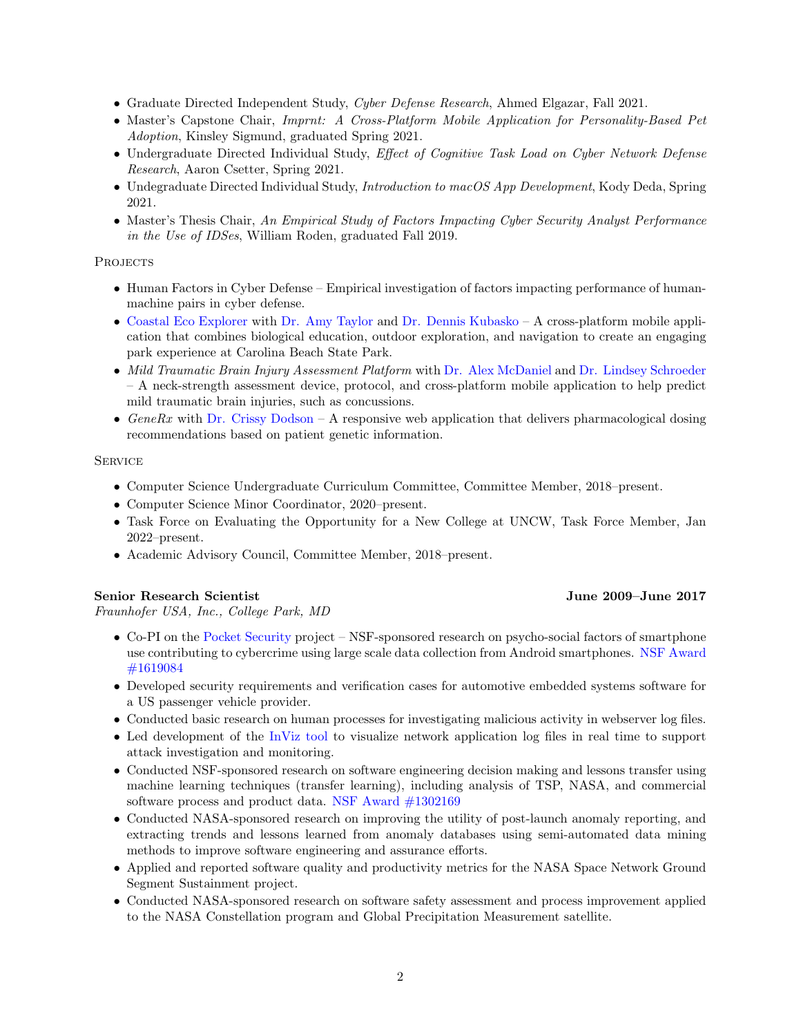- Graduate Directed Independent Study, Cyber Defense Research, Ahmed Elgazar, Fall 2021.
- Master's Capstone Chair, Imprnt: A Cross-Platform Mobile Application for Personality-Based Pet Adoption, Kinsley Sigmund, graduated Spring 2021.
- Undergraduate Directed Individual Study, Effect of Cognitive Task Load on Cyber Network Defense Research, Aaron Csetter, Spring 2021.
- Undegraduate Directed Individual Study, Introduction to macOS App Development, Kody Deda, Spring 2021.
- Master's Thesis Chair, An Empirical Study of Factors Impacting Cyber Security Analyst Performance in the Use of IDSes, William Roden, graduated Fall 2019.

## **PROJECTS**

- Human Factors in Cyber Defense Empirical investigation of factors impacting performance of humanmachine pairs in cyber defense.
- [Coastal Eco Explorer](https://uncw.edu/ed/coastalecoexplorer/) with [Dr. Amy Taylor](http://people.uncw.edu/taylorar/) and [Dr. Dennis Kubasko](http://people.uncw.edu/kubaskod/home.html) A cross-platform mobile application that combines biological education, outdoor exploration, and navigation to create an engaging park experience at Carolina Beach State Park.
- Mild Traumatic Brain Injury Assessment Platform with [Dr. Alex McDaniel](https://uncw.edu/chhs/shahs/about/mcdaniel.html) and [Dr. Lindsey Schroeder](https://uncw.edu/chhs/shahs/about/schroeder.html) – A neck-strength assessment device, protocol, and cross-platform mobile application to help predict mild traumatic brain injuries, such as concussions.
- GeneRx with [Dr. Crissy Dodson](https://uncw.edu/chhs/son/about/documents/faculty-pages/dodsonc-bio.html) A responsive web application that delivers pharmacological dosing recommendations based on patient genetic information.

# **SERVICE**

- Computer Science Undergraduate Curriculum Committee, Committee Member, 2018–present.
- Computer Science Minor Coordinator, 2020–present.
- Task Force on Evaluating the Opportunity for a New College at UNCW, Task Force Member, Jan 2022–present.
- Academic Advisory Council, Committee Member, 2018–present.

# Senior Research Scientist June 2009–June 2017

Fraunhofer USA, Inc., College Park, MD

- Co-PI on the [Pocket Security](https://www.pocket-security.org) project NSF-sponsored research on psycho-social factors of smartphone use contributing to cybercrime using large scale data collection from Android smartphones. [NSF Award](https://www.nsf.gov/awardsearch/showAward?AWD_ID=1619084) [#1619084](https://www.nsf.gov/awardsearch/showAward?AWD_ID=1619084)
- Developed security requirements and verification cases for automotive embedded systems software for a US passenger vehicle provider.
- Conducted basic research on human processes for investigating malicious activity in webserver log files.
- Led development of the [InViz tool](https://www.cese.fraunhofer.org/en/Tools/InViz.html) to visualize network application log files in real time to support attack investigation and monitoring.
- Conducted NSF-sponsored research on software engineering decision making and lessons transfer using machine learning techniques (transfer learning), including analysis of TSP, NASA, and commercial software process and product data. [NSF Award #1302169](https://www.nsf.gov/awardsearch/showAward?AWD_ID=1302169)
- Conducted NASA-sponsored research on improving the utility of post-launch anomaly reporting, and extracting trends and lessons learned from anomaly databases using semi-automated data mining methods to improve software engineering and assurance efforts.
- Applied and reported software quality and productivity metrics for the NASA Space Network Ground Segment Sustainment project.
- Conducted NASA-sponsored research on software safety assessment and process improvement applied to the NASA Constellation program and Global Precipitation Measurement satellite.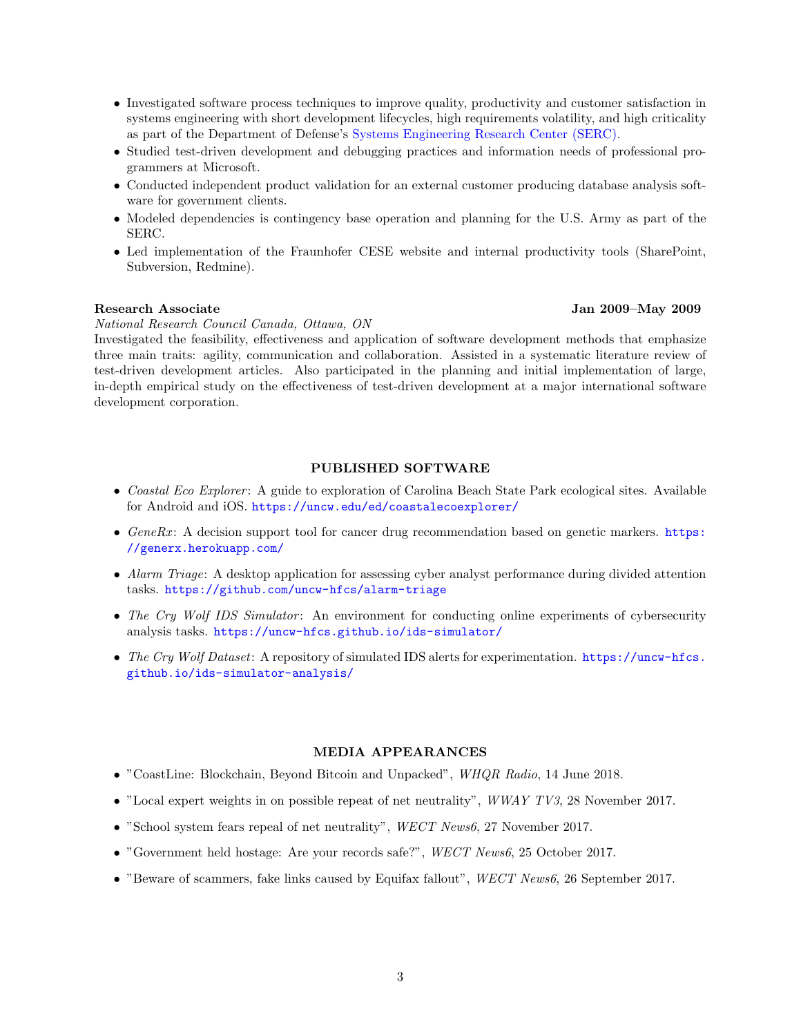- Investigated software process techniques to improve quality, productivity and customer satisfaction in systems engineering with short development lifecycles, high requirements volatility, and high criticality as part of the Department of Defense's [Systems Engineering Research Center \(SERC\).](http://www.sercuarc.org/)
- Studied test-driven development and debugging practices and information needs of professional programmers at Microsoft.
- Conducted independent product validation for an external customer producing database analysis software for government clients.
- Modeled dependencies is contingency base operation and planning for the U.S. Army as part of the SERC.
- Led implementation of the Fraunhofer CESE website and internal productivity tools (SharePoint, Subversion, Redmine).

# Research Associate Jan 2009–May 2009

National Research Council Canada, Ottawa, ON

Investigated the feasibility, effectiveness and application of software development methods that emphasize three main traits: agility, communication and collaboration. Assisted in a systematic literature review of test-driven development articles. Also participated in the planning and initial implementation of large, in-depth empirical study on the effectiveness of test-driven development at a major international software development corporation.

# PUBLISHED SOFTWARE

- Coastal Eco Explorer: A guide to exploration of Carolina Beach State Park ecological sites. Available for Android and iOS. <https://uncw.edu/ed/coastalecoexplorer/>
- GeneRx: A decision support tool for cancer drug recommendation based on genetic markers. [https:](https://generx.herokuapp.com/) [//generx.herokuapp.com/](https://generx.herokuapp.com/)
- Alarm Triage: A desktop application for assessing cyber analyst performance during divided attention tasks. <https://github.com/uncw-hfcs/alarm-triage>
- The Cry Wolf IDS Simulator: An environment for conducting online experiments of cybersecurity analysis tasks. <https://uncw-hfcs.github.io/ids-simulator/>
- The Cry Wolf Dataset: A repository of simulated IDS alerts for experimentation. [https://uncw-hfcs.](https://uncw-hfcs.github.io/ids-simulator-analysis/) [github.io/ids-simulator-analysis/](https://uncw-hfcs.github.io/ids-simulator-analysis/)

#### MEDIA APPEARANCES

- "CoastLine: Blockchain, Beyond Bitcoin and Unpacked", WHQR Radio, 14 June 2018.
- "Local expert weights in on possible repeat of net neutrality",  $WWAY$  TV3, 28 November 2017.
- "School system fears repeal of net neutrality", WECT News6, 27 November 2017.
- "Government held hostage: Are your records safe?", WECT News6, 25 October 2017.
- "Beware of scammers, fake links caused by Equifax fallout", WECT News6, 26 September 2017.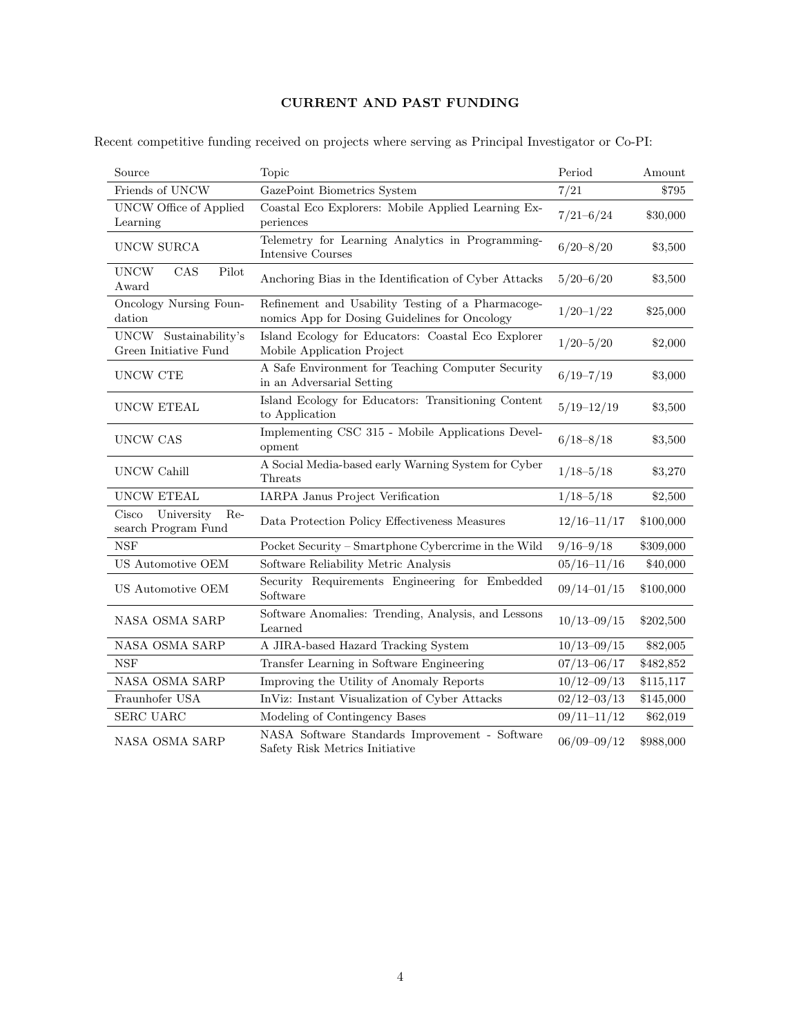# CURRENT AND PAST FUNDING

|  |  |  | Recent competitive funding received on projects where serving as Principal Investigator or Co-PI: |  |
|--|--|--|---------------------------------------------------------------------------------------------------|--|
|  |  |  |                                                                                                   |  |

| Source                                            | Topic                                                                                              | Period          | Amount    |
|---------------------------------------------------|----------------------------------------------------------------------------------------------------|-----------------|-----------|
| Friends of UNCW                                   | GazePoint Biometrics System                                                                        | 7/21            | \$795     |
| <b>UNCW Office of Applied</b><br>Learning         | Coastal Eco Explorers: Mobile Applied Learning Ex-<br>periences                                    | $7/21 - 6/24$   | \$30,000  |
| UNCW SURCA                                        | Telemetry for Learning Analytics in Programming-<br><b>Intensive Courses</b>                       | $6/20 - 8/20$   | \$3,500   |
| CAS<br><b>UNCW</b><br>Pilot<br>Award              | Anchoring Bias in the Identification of Cyber Attacks                                              | $5/20 - 6/20$   | \$3,500   |
| Oncology Nursing Foun-<br>dation                  | Refinement and Usability Testing of a Pharmacoge-<br>nomics App for Dosing Guidelines for Oncology | $1/20-1/22$     | \$25,000  |
| UNCW Sustainability's<br>Green Initiative Fund    | Island Ecology for Educators: Coastal Eco Explorer<br>Mobile Application Project                   | $1/20 - 5/20$   | \$2,000   |
| UNCW CTE                                          | A Safe Environment for Teaching Computer Security<br>in an Adversarial Setting                     | $6/19 - 7/19$   | \$3,000   |
| UNCW ETEAL                                        | Island Ecology for Educators: Transitioning Content<br>to Application                              | $5/19 - 12/19$  | \$3,500   |
| UNCW CAS                                          | Implementing CSC 315 - Mobile Applications Devel-<br>opment                                        | $6/18 - 8/18$   | \$3,500   |
| <b>UNCW Cahill</b>                                | A Social Media-based early Warning System for Cyber<br>$\operatorname{Threats}$                    | $1/18 - 5/18$   | \$3,270   |
| <b>UNCW ETEAL</b>                                 | IARPA Janus Project Verification                                                                   | $1/18 - 5/18$   | \$2,500   |
| University<br>Cisco<br>Re-<br>search Program Fund | Data Protection Policy Effectiveness Measures                                                      | $12/16 - 11/17$ | \$100,000 |
| NSF                                               | Pocket Security - Smartphone Cybercrime in the Wild                                                | $9/16 - 9/18$   | \$309,000 |
| US Automotive OEM                                 | Software Reliability Metric Analysis                                                               | $05/16 - 11/16$ | \$40,000  |
| US Automotive OEM                                 | Security Requirements Engineering for Embedded<br>Software                                         | $09/14 - 01/15$ | \$100,000 |
| NASA OSMA SARP                                    | Software Anomalies: Trending, Analysis, and Lessons<br>Learned                                     | $10/13 - 09/15$ | \$202,500 |
| NASA OSMA SARP                                    | A JIRA-based Hazard Tracking System                                                                | $10/13 - 09/15$ | \$82,005  |
| <b>NSF</b>                                        | Transfer Learning in Software Engineering                                                          | $07/13 - 06/17$ | \$482,852 |
| <b>NASA OSMA SARP</b>                             | Improving the Utility of Anomaly Reports                                                           | $10/12 - 09/13$ | \$115,117 |
| Fraunhofer USA                                    | InViz: Instant Visualization of Cyber Attacks                                                      | $02/12 - 03/13$ | \$145,000 |
| <b>SERC UARC</b>                                  | Modeling of Contingency Bases                                                                      | $09/11 - 11/12$ | \$62,019  |
| <b>NASA OSMA SARP</b>                             | NASA Software Standards Improvement - Software<br>Safety Risk Metrics Initiative                   | $06/09 - 09/12$ | \$988,000 |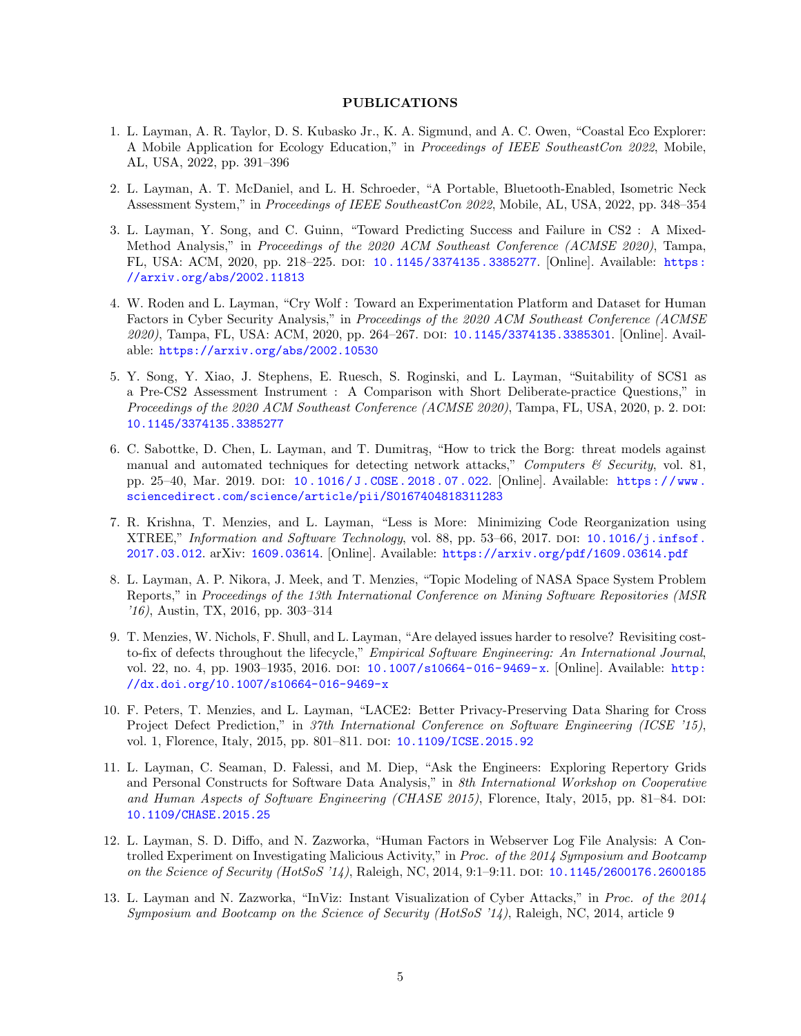#### PUBLICATIONS

- 1. L. Layman, A. R. Taylor, D. S. Kubasko Jr., K. A. Sigmund, and A. C. Owen, "Coastal Eco Explorer: A Mobile Application for Ecology Education," in Proceedings of IEEE SoutheastCon 2022, Mobile, AL, USA, 2022, pp. 391–396
- 2. L. Layman, A. T. McDaniel, and L. H. Schroeder, "A Portable, Bluetooth-Enabled, Isometric Neck Assessment System," in Proceedings of IEEE SoutheastCon 2022, Mobile, AL, USA, 2022, pp. 348–354
- 3. L. Layman, Y. Song, and C. Guinn, "Toward Predicting Success and Failure in CS2 : A Mixed-Method Analysis," in Proceedings of the 2020 ACM Southeast Conference (ACMSE 2020), Tampa, FL, USA: ACM, 2020, pp. 218–225. doi: [10.1145/3374135.3385277](https://doi.org/10.1145/3374135.3385277). [Online]. Available: [https:](https://arxiv.org/abs/2002.11813) [//arxiv.org/abs/2002.11813](https://arxiv.org/abs/2002.11813)
- 4. W. Roden and L. Layman, "Cry Wolf : Toward an Experimentation Platform and Dataset for Human Factors in Cyber Security Analysis," in Proceedings of the 2020 ACM Southeast Conference (ACMSE 2020), Tampa, FL, USA: ACM, 2020, pp. 264–267. doi: [10.1145/3374135.3385301](https://doi.org/10.1145/3374135.3385301). [Online]. Available: <https://arxiv.org/abs/2002.10530>
- 5. Y. Song, Y. Xiao, J. Stephens, E. Ruesch, S. Roginski, and L. Layman, "Suitability of SCS1 as a Pre-CS2 Assessment Instrument : A Comparison with Short Deliberate-practice Questions," in Proceedings of the 2020 ACM Southeast Conference (ACMSE 2020), Tampa, FL, USA, 2020, p. 2. DOI: [10.1145/3374135.3385277](https://doi.org/10.1145/3374135.3385277)
- 6. C. Sabottke, D. Chen, L. Layman, and T. Dumitras, "How to trick the Borg: threat models against manual and automated techniques for detecting network attacks," Computers  $\mathcal C$  Security, vol. 81, pp. 25–40, Mar. 2019. doi: [10 . 1016 / J . COSE . 2018 . 07 . 022](https://doi.org/10.1016/J.COSE.2018.07.022). [Online]. Available: [https : / / www .](https://www.sciencedirect.com/science/article/pii/S0167404818311283) [sciencedirect.com/science/article/pii/S0167404818311283](https://www.sciencedirect.com/science/article/pii/S0167404818311283)
- 7. R. Krishna, T. Menzies, and L. Layman, "Less is More: Minimizing Code Reorganization using XTREE," Information and Software Technology, vol. 88, pp. 53–66, 2017. DOI:  $10.1016/j.infsof$ . [2017.03.012](https://doi.org/10.1016/j.infsof.2017.03.012). arXiv: [1609.03614](https://arxiv.org/abs/1609.03614). [Online]. Available: <https://arxiv.org/pdf/1609.03614.pdf>
- 8. L. Layman, A. P. Nikora, J. Meek, and T. Menzies, "Topic Modeling of NASA Space System Problem Reports," in Proceedings of the 13th International Conference on Mining Software Repositories (MSR '16), Austin, TX, 2016, pp. 303–314
- 9. T. Menzies, W. Nichols, F. Shull, and L. Layman, "Are delayed issues harder to resolve? Revisiting costto-fix of defects throughout the lifecycle," Empirical Software Engineering: An International Journal, vol. 22, no. 4, pp. 1903–1935, 2016. doi: [10.1007/s10664-016-9469-x](https://doi.org/10.1007/s10664-016-9469-x). [Online]. Available: [http:](http://dx.doi.org/10.1007/s10664-016-9469-x) [//dx.doi.org/10.1007/s10664-016-9469-x](http://dx.doi.org/10.1007/s10664-016-9469-x)
- 10. F. Peters, T. Menzies, and L. Layman, "LACE2: Better Privacy-Preserving Data Sharing for Cross Project Defect Prediction," in 37th International Conference on Software Engineering (ICSE '15), vol. 1, Florence, Italy, 2015, pp. 801-811. DOI: [10.1109/ICSE.2015.92](https://doi.org/10.1109/ICSE.2015.92)
- 11. L. Layman, C. Seaman, D. Falessi, and M. Diep, "Ask the Engineers: Exploring Repertory Grids and Personal Constructs for Software Data Analysis," in 8th International Workshop on Cooperative and Human Aspects of Software Engineering (CHASE 2015), Florence, Italy, 2015, pp. 81–84. DOI: [10.1109/CHASE.2015.25](https://doi.org/10.1109/CHASE.2015.25)
- 12. L. Layman, S. D. Diffo, and N. Zazworka, "Human Factors in Webserver Log File Analysis: A Controlled Experiment on Investigating Malicious Activity," in Proc. of the 2014 Symposium and Bootcamp on the Science of Security (HotSoS '14), Raleigh, NC, 2014, 9:1-9:11. DOI: [10.1145/2600176.2600185](https://doi.org/10.1145/2600176.2600185)
- 13. L. Layman and N. Zazworka, "InViz: Instant Visualization of Cyber Attacks," in Proc. of the 2014 Symposium and Bootcamp on the Science of Security (HotSoS '14), Raleigh, NC, 2014, article 9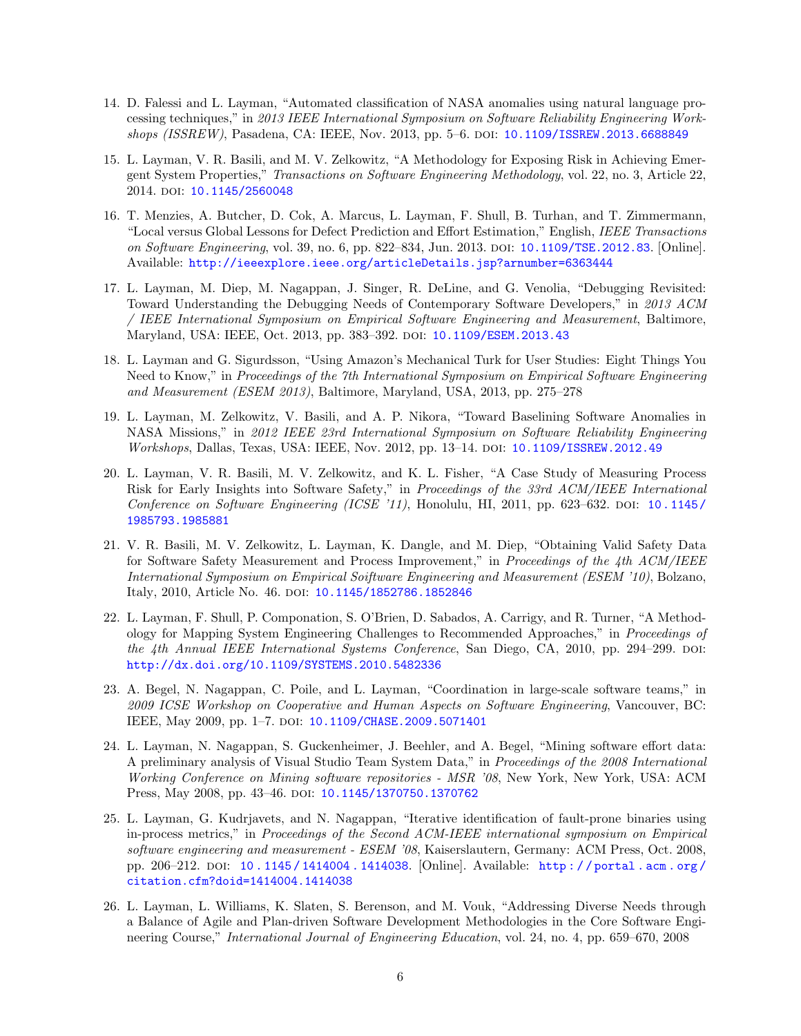- 14. D. Falessi and L. Layman, "Automated classification of NASA anomalies using natural language processing techniques," in 2013 IEEE International Symposium on Software Reliability Engineering Workshops (ISSREW), Pasadena, CA: IEEE, Nov. 2013, pp. 5–6. doi: [10.1109/ISSREW.2013.6688849](https://doi.org/10.1109/ISSREW.2013.6688849)
- 15. L. Layman, V. R. Basili, and M. V. Zelkowitz, "A Methodology for Exposing Risk in Achieving Emergent System Properties," Transactions on Software Engineering Methodology, vol. 22, no. 3, Article 22, 2014. DOI: [10.1145/2560048](https://doi.org/10.1145/2560048)
- 16. T. Menzies, A. Butcher, D. Cok, A. Marcus, L. Layman, F. Shull, B. Turhan, and T. Zimmermann, "Local versus Global Lessons for Defect Prediction and Effort Estimation," English, IEEE Transactions on Software Engineering, vol. 39, no. 6, pp. 822–834, Jun. 2013. DOI: [10.1109/TSE.2012.83](https://doi.org/10.1109/TSE.2012.83). [Online]. Available: <http://ieeexplore.ieee.org/articleDetails.jsp?arnumber=6363444>
- 17. L. Layman, M. Diep, M. Nagappan, J. Singer, R. DeLine, and G. Venolia, "Debugging Revisited: Toward Understanding the Debugging Needs of Contemporary Software Developers," in 2013 ACM / IEEE International Symposium on Empirical Software Engineering and Measurement, Baltimore, Maryland, USA: IEEE, Oct. 2013, pp. 383–392. doi: [10.1109/ESEM.2013.43](https://doi.org/10.1109/ESEM.2013.43)
- 18. L. Layman and G. Sigurdsson, "Using Amazon's Mechanical Turk for User Studies: Eight Things You Need to Know," in Proceedings of the 7th International Symposium on Empirical Software Engineering and Measurement (ESEM 2013), Baltimore, Maryland, USA, 2013, pp. 275–278
- 19. L. Layman, M. Zelkowitz, V. Basili, and A. P. Nikora, "Toward Baselining Software Anomalies in NASA Missions," in 2012 IEEE 23rd International Symposium on Software Reliability Engineering Workshops, Dallas, Texas, USA: IEEE, Nov. 2012, pp. 13–14. doi: [10.1109/ISSREW.2012.49](https://doi.org/10.1109/ISSREW.2012.49)
- 20. L. Layman, V. R. Basili, M. V. Zelkowitz, and K. L. Fisher, "A Case Study of Measuring Process Risk for Early Insights into Software Safety," in Proceedings of the 33rd ACM/IEEE International Conference on Software Engineering (ICSE '11), Honolulu, HI, 2011, pp. 623–632. DOI: [10.1145/](https://doi.org/10.1145/1985793.1985881) [1985793.1985881](https://doi.org/10.1145/1985793.1985881)
- 21. V. R. Basili, M. V. Zelkowitz, L. Layman, K. Dangle, and M. Diep, "Obtaining Valid Safety Data for Software Safety Measurement and Process Improvement," in Proceedings of the 4th ACM/IEEE International Symposium on Empirical Soiftware Engineering and Measurement (ESEM '10), Bolzano, Italy, 2010, Article No. 46. DOI: [10.1145/1852786.1852846](https://doi.org/10.1145/1852786.1852846)
- 22. L. Layman, F. Shull, P. Componation, S. O'Brien, D. Sabados, A. Carrigy, and R. Turner, "A Methodology for Mapping System Engineering Challenges to Recommended Approaches," in Proceedings of the 4th Annual IEEE International Systems Conference, San Diego, CA, 2010, pp. 294–299. doi: [http://dx.doi.org/10.1109/SYSTEMS.2010.5482336](https://doi.org/http://dx.doi.org/10.1109/SYSTEMS.2010.5482336)
- 23. A. Begel, N. Nagappan, C. Poile, and L. Layman, "Coordination in large-scale software teams," in 2009 ICSE Workshop on Cooperative and Human Aspects on Software Engineering, Vancouver, BC: IEEE, May 2009, pp. 1–7. doi: [10.1109/CHASE.2009.5071401](https://doi.org/10.1109/CHASE.2009.5071401)
- 24. L. Layman, N. Nagappan, S. Guckenheimer, J. Beehler, and A. Begel, "Mining software effort data: A preliminary analysis of Visual Studio Team System Data," in Proceedings of the 2008 International Working Conference on Mining software repositories - MSR '08, New York, New York, USA: ACM Press, May 2008, pp. 43-46. DOI: [10.1145/1370750.1370762](https://doi.org/10.1145/1370750.1370762)
- 25. L. Layman, G. Kudrjavets, and N. Nagappan, "Iterative identification of fault-prone binaries using in-process metrics," in Proceedings of the Second ACM-IEEE international symposium on Empirical software engineering and measurement - ESEM '08, Kaiserslautern, Germany: ACM Press, Oct. 2008, pp. 206–212. doi: [10 . 1145 / 1414004 . 1414038](https://doi.org/10.1145/1414004.1414038). [Online]. Available: [http : / / portal . acm . org /](http://portal.acm.org/citation.cfm?doid=1414004.1414038) [citation.cfm?doid=1414004.1414038](http://portal.acm.org/citation.cfm?doid=1414004.1414038)
- 26. L. Layman, L. Williams, K. Slaten, S. Berenson, and M. Vouk, "Addressing Diverse Needs through a Balance of Agile and Plan-driven Software Development Methodologies in the Core Software Engineering Course," International Journal of Engineering Education, vol. 24, no. 4, pp. 659–670, 2008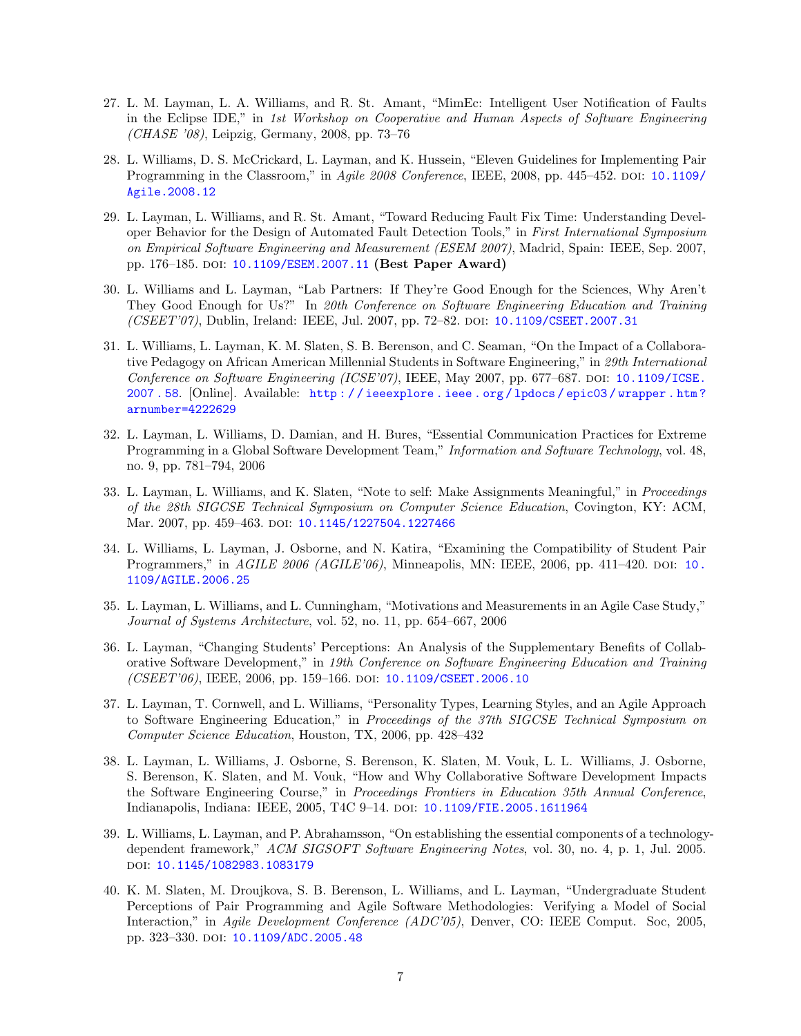- 27. L. M. Layman, L. A. Williams, and R. St. Amant, "MimEc: Intelligent User Notification of Faults in the Eclipse IDE," in 1st Workshop on Cooperative and Human Aspects of Software Engineering (CHASE '08), Leipzig, Germany, 2008, pp. 73–76
- 28. L. Williams, D. S. McCrickard, L. Layman, and K. Hussein, "Eleven Guidelines for Implementing Pair Programming in the Classroom," in Agile 2008 Conference, IEEE, 2008, pp. 445–452. poi: [10.1109/](https://doi.org/10.1109/Agile.2008.12) [Agile.2008.12](https://doi.org/10.1109/Agile.2008.12)
- 29. L. Layman, L. Williams, and R. St. Amant, "Toward Reducing Fault Fix Time: Understanding Developer Behavior for the Design of Automated Fault Detection Tools," in First International Symposium on Empirical Software Engineering and Measurement (ESEM 2007), Madrid, Spain: IEEE, Sep. 2007, pp. 176–185. doi: [10.1109/ESEM.2007.11](https://doi.org/10.1109/ESEM.2007.11) (Best Paper Award)
- 30. L. Williams and L. Layman, "Lab Partners: If They're Good Enough for the Sciences, Why Aren't They Good Enough for Us?" In 20th Conference on Software Engineering Education and Training (CSEET'07), Dublin, Ireland: IEEE, Jul. 2007, pp. 72–82. doi: [10.1109/CSEET.2007.31](https://doi.org/10.1109/CSEET.2007.31)
- 31. L. Williams, L. Layman, K. M. Slaten, S. B. Berenson, and C. Seaman, "On the Impact of a Collaborative Pedagogy on African American Millennial Students in Software Engineering," in 29th International Conference on Software Engineering (ICSE'07), IEEE, May 2007, pp. 677–687. DOI:  $10.1109/\text{ICSE}$ . [2007 . 58](https://doi.org/10.1109/ICSE.2007.58). [Online]. Available: [http : / / ieeexplore . ieee . org / lpdocs / epic03 / wrapper . htm ?](http://ieeexplore.ieee.org/lpdocs/epic03/wrapper.htm?arnumber=4222629) [arnumber=4222629](http://ieeexplore.ieee.org/lpdocs/epic03/wrapper.htm?arnumber=4222629)
- 32. L. Layman, L. Williams, D. Damian, and H. Bures, "Essential Communication Practices for Extreme Programming in a Global Software Development Team," Information and Software Technology, vol. 48, no. 9, pp. 781–794, 2006
- 33. L. Layman, L. Williams, and K. Slaten, "Note to self: Make Assignments Meaningful," in Proceedings of the 28th SIGCSE Technical Symposium on Computer Science Education, Covington, KY: ACM, Mar. 2007, pp. 459-463. DOI: [10.1145/1227504.1227466](https://doi.org/10.1145/1227504.1227466)
- 34. L. Williams, L. Layman, J. Osborne, and N. Katira, "Examining the Compatibility of Student Pair Programmers," in AGILE 2006 (AGILE'06), Minneapolis, MN: IEEE, 2006, pp. 411–420. doi: [10.](https://doi.org/10.1109/AGILE.2006.25) [1109/AGILE.2006.25](https://doi.org/10.1109/AGILE.2006.25)
- 35. L. Layman, L. Williams, and L. Cunningham, "Motivations and Measurements in an Agile Case Study," Journal of Systems Architecture, vol. 52, no. 11, pp. 654–667, 2006
- 36. L. Layman, "Changing Students' Perceptions: An Analysis of the Supplementary Benefits of Collaborative Software Development," in 19th Conference on Software Engineering Education and Training (CSEET'06), IEEE, 2006, pp. 159–166. DOI: 10.1109/CSEET. 2006.10
- 37. L. Layman, T. Cornwell, and L. Williams, "Personality Types, Learning Styles, and an Agile Approach to Software Engineering Education," in Proceedings of the 37th SIGCSE Technical Symposium on Computer Science Education, Houston, TX, 2006, pp. 428–432
- 38. L. Layman, L. Williams, J. Osborne, S. Berenson, K. Slaten, M. Vouk, L. L. Williams, J. Osborne, S. Berenson, K. Slaten, and M. Vouk, "How and Why Collaborative Software Development Impacts the Software Engineering Course," in Proceedings Frontiers in Education 35th Annual Conference, Indianapolis, Indiana: IEEE, 2005, T4C 9–14. doi: [10.1109/FIE.2005.1611964](https://doi.org/10.1109/FIE.2005.1611964)
- 39. L. Williams, L. Layman, and P. Abrahamsson, "On establishing the essential components of a technologydependent framework," ACM SIGSOFT Software Engineering Notes, vol. 30, no. 4, p. 1, Jul. 2005. doi: [10.1145/1082983.1083179](https://doi.org/10.1145/1082983.1083179)
- 40. K. M. Slaten, M. Droujkova, S. B. Berenson, L. Williams, and L. Layman, "Undergraduate Student Perceptions of Pair Programming and Agile Software Methodologies: Verifying a Model of Social Interaction," in Agile Development Conference (ADC'05), Denver, CO: IEEE Comput. Soc, 2005, pp. 323-330. DOI: [10.1109/ADC.2005.48](https://doi.org/10.1109/ADC.2005.48)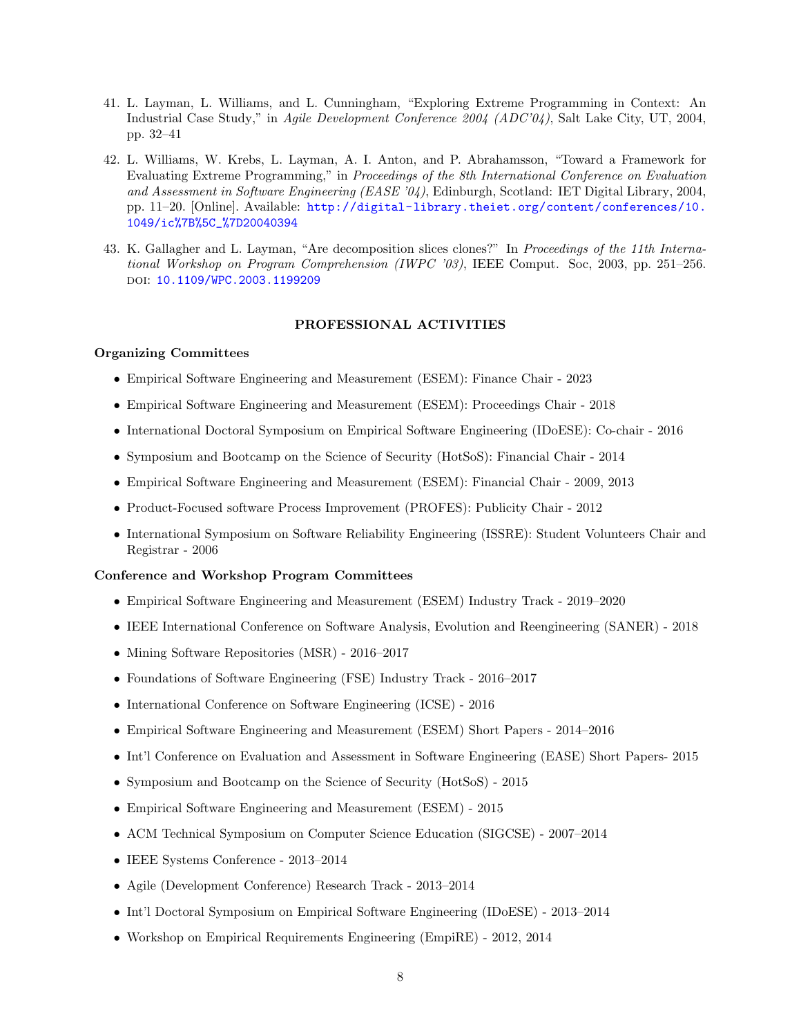- 41. L. Layman, L. Williams, and L. Cunningham, "Exploring Extreme Programming in Context: An Industrial Case Study," in Agile Development Conference 2004 (ADC'04), Salt Lake City, UT, 2004, pp. 32–41
- 42. L. Williams, W. Krebs, L. Layman, A. I. Anton, and P. Abrahamsson, "Toward a Framework for Evaluating Extreme Programming," in Proceedings of the 8th International Conference on Evaluation and Assessment in Software Engineering (EASE '04), Edinburgh, Scotland: IET Digital Library, 2004, pp. 11–20. [Online]. Available: [http://digital-library.theiet.org/content/conferences/10.](http://digital-library.theiet.org/content/conferences/10.1049/ic%7B%5C_%7D20040394) [1049/ic%7B%5C\\_%7D20040394](http://digital-library.theiet.org/content/conferences/10.1049/ic%7B%5C_%7D20040394)
- 43. K. Gallagher and L. Layman, "Are decomposition slices clones?" In Proceedings of the 11th International Workshop on Program Comprehension (IWPC '03), IEEE Comput. Soc, 2003, pp. 251–256. doi: [10.1109/WPC.2003.1199209](https://doi.org/10.1109/WPC.2003.1199209)

#### PROFESSIONAL ACTIVITIES

# Organizing Committees

- Empirical Software Engineering and Measurement (ESEM): Finance Chair 2023
- Empirical Software Engineering and Measurement (ESEM): Proceedings Chair 2018
- International Doctoral Symposium on Empirical Software Engineering (IDoESE): Co-chair 2016
- Symposium and Bootcamp on the Science of Security (HotSoS): Financial Chair 2014
- Empirical Software Engineering and Measurement (ESEM): Financial Chair 2009, 2013
- Product-Focused software Process Improvement (PROFES): Publicity Chair 2012
- International Symposium on Software Reliability Engineering (ISSRE): Student Volunteers Chair and Registrar - 2006

### Conference and Workshop Program Committees

- Empirical Software Engineering and Measurement (ESEM) Industry Track 2019–2020
- IEEE International Conference on Software Analysis, Evolution and Reengineering (SANER) 2018
- Mining Software Repositories (MSR) 2016–2017
- Foundations of Software Engineering (FSE) Industry Track 2016–2017
- International Conference on Software Engineering (ICSE) 2016
- Empirical Software Engineering and Measurement (ESEM) Short Papers 2014–2016
- Int'l Conference on Evaluation and Assessment in Software Engineering (EASE) Short Papers- 2015
- Symposium and Bootcamp on the Science of Security (HotSoS) 2015
- Empirical Software Engineering and Measurement (ESEM) 2015
- ACM Technical Symposium on Computer Science Education (SIGCSE) 2007–2014
- IEEE Systems Conference 2013–2014
- Agile (Development Conference) Research Track 2013–2014
- Int'l Doctoral Symposium on Empirical Software Engineering (IDoESE) 2013–2014
- Workshop on Empirical Requirements Engineering (EmpiRE) 2012, 2014